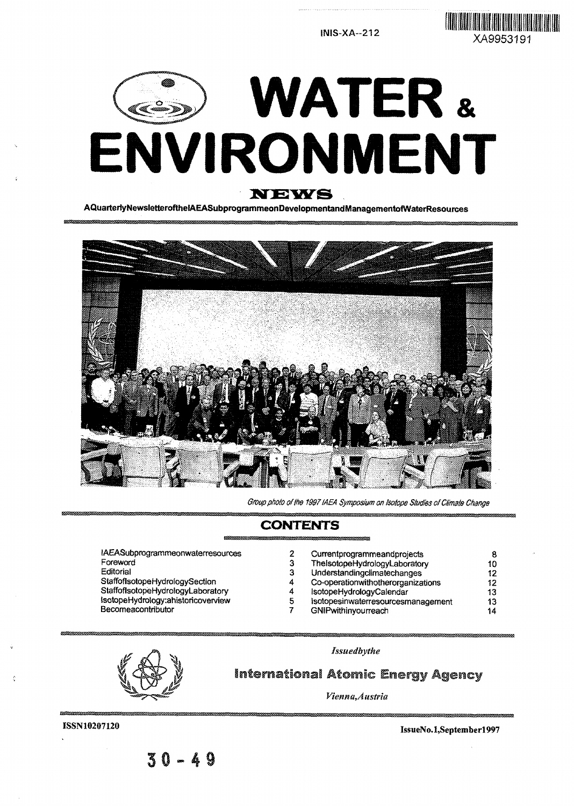INIS-XA--212





**AQuarterlyNewsletterofthelAEASubprogrammeonDevelopmentandManagementofWaterResources**



Group photo of the 1997 IAEA Symposium on Isotope Studies of Climate Change

## **CONTENTS**

lAEASubprogrammeonwaterresources Foreword Editorial StaffoflsotopeHydrologySection StaffoflsotopeHydrologyLaboratory IsotopeHydrologyiahistoricoverview Becomeacontributor

30-49

| 2 | Currentprogrammeandprojects        | 8  |
|---|------------------------------------|----|
| 3 | The isotope HydrologyLaboratory    | 10 |
| 3 | Understandingclimatechanges        | 12 |
| 4 | Co-operationwithotherorganizations | 12 |
| 4 | IsotopeHydrologyCalendar           | 13 |
| 5 | Isotopesinwaterresourcesmanagement | 13 |
| 7 | GNIPwithinyourreach                | 14 |
|   |                                    |    |



#### *Issuedhytke*

International Atomic Energy Agency

*Vienna,Austria*

ISSN10207120 IssueNo.1,September 1997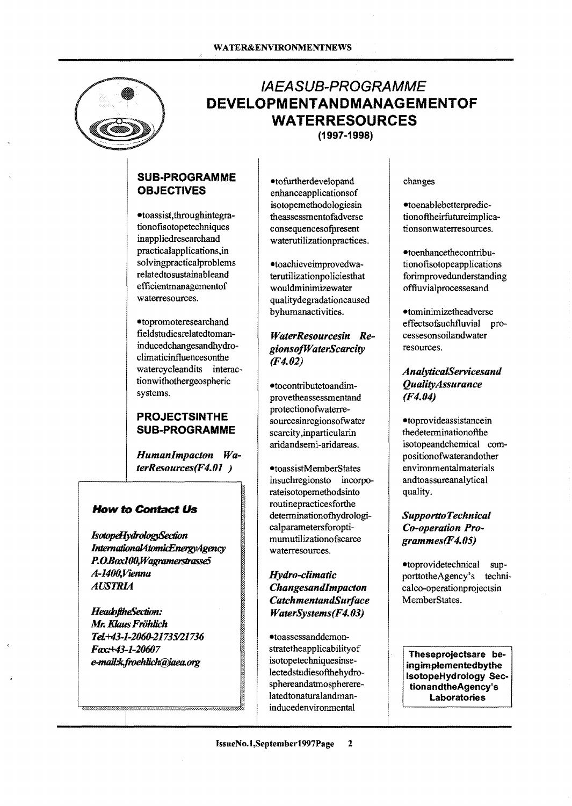

# **IAEA SUB-PROGRAMME DEVELOPMENTANDMANAGEMENTOF WATERRESOURCES**

(1997-1998)

## **SUB-PROGRAMME OBJECTIVES**

•toassist, through integrationofisotopetechniques inappliedresearchand practicalapplications, in solvingpracticalproblems relatedtosustainableand efficientmanagementof waterresources.

•topromoteresearchand fieldstudiesrelatedtomaninducedchangesandhydroclimaticinfluencesonthe watercycleandits interactionwithothergeospheric systems.

## **PROJECTSINTHE SUB-PROGRAMME**

*Humanlmpacton WaterResources(F4.01 )*

## *How* **to** *Contact Us*

*IsotopeHydrotogySection* InternationalAtomicEnergyAgency *P.OJBoxlOO,Wagnanerstrasse5 A-1400,Vkma AUSTRIA*

*HeatbfiheSeetion: Mr. Kkuis Fröhlkh TdM3-l-2060-2173S/21736 Fax\*43-l-20607 e4nailAfttfehach@iaea.0rg*

•tofurtherdevelopand enhanceapplicationsof isotopemethodologiesin theassessmentofadverse consequencesofpresent waterutilizationpractices.

•toachieveimprovedwaterutilizationpoliciesthat wouldminimizewater qualitydegradationcaused byhumanactivities.

## *WaterResourcesin RegiomofWaterScarcity (F4.02)*

•tocontributetoandimprovetheassessmentand protectionofwaterresourcesinregionsofwater scarcity ,inparticularin aridandsemi-aridareas.

•toassistMemberStates insuchregionsto incorporateisotopemethodsinto routinepracticesforthe determinationofhydrologicalparametersforoptimumutilizationofscarce waterresources.

## *Hydro-climatic Changesandlmpacton CatchmentandSurface WaterSystems(F4.03)*

•toassessanddemonstratetheapplicabilityof isotopetechniquesinselectedstudiesofthehydrosphereandatmosphererelatedtonaturalandmaninducedenvironmental

#### changes

•toenablebetterpredictionoftheirfutureimplicationsonwaterresources.

•toenhancethecontributionofisotopeapplications forimprovedunderstanding offluvialprocessesand

•tominimizetheadverse effectsofsuchfluvial cessesonsoilandwater resources.

## *AnalyticalServicesand QualityAssurance (F4.04)*

•toprovideassistancein thedeterminationofthe isotopeandchemical compositionofwaterandother environmentalmaterials andtoassureanalytical quality.

## *Supportto Technical Co-operation Programmes(F4.05)*

•toprovidetechnical supporttotheAgency's technicalco-operationprojectsin MemberStates.

Theseprojectsare beingimplementedbythe isotopeHydroiogy SectionandtheAgency's Laboratories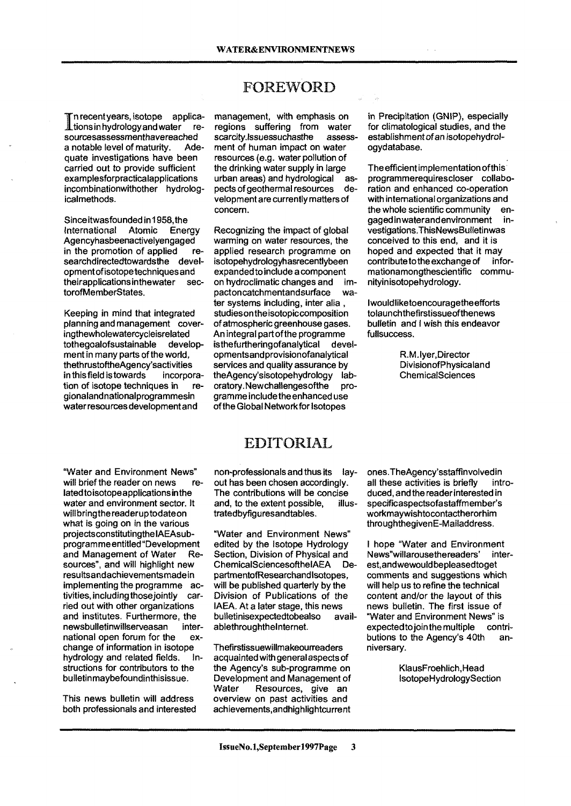T n recent years, isotope appiica-JLtions in hydrology and water resourcesassessmenthavereached a notable level of maturity. Adequate investigations have been carried out to provide sufficient examplesforpracticalapplications incombinationwithother hydrologicalmethods.

Since itwasfounded in 1958, the international Atomic Energy Agencyhasbeenactivelyengaged in the promotion of applied researchdirectedtowardsthe development of isotope techniques and theirapplicationsinthewater sectorofMemberStates.

Keeping in mind that integrated planning and management coveringthewholewatercycleisrelated tothegoalofsustainable development in many parts of the world, thethrustoftheAgency'sactivities<br>in this field is towards incorporain this field is towards tion of isotope techniques in regionalandnationalprogrammesin water resou rces development and

# FOREWORD

management, with emphasis on regions suffering from water scarcity.lssuessuchasthe assessment of human impact on water resources (e.g. water pollution of the drinking water supply in large urban areas) and hydrological aspects of geothermal resources development are currently matters of concern.

Recognizing the impact of global warming on water resources, the applied research programme on isotopehydrologyhasrecentlybeen expanded to include acomponent on hydroclimatic changes and impactoncatchmentandsurface water systems including, inter alia , studieson the isotopiccomposition of atmospheric greenhouse gases. An integral part of the programme isthefurtheringofanalytical deveiopmentsandprovisionofanalytical services and quality assurance by theAgency'sisotopehydrology laboratory. New challenges of the programme include the enhanced use of the Global Network for Isotopes

in Precipitation (GNIP), especially for climatological studies, and the establishment of an isotopehydrologydatabase.

The efficient implementation of this programmerequirescloser collaboration and enhanced co-operation with international organizations and the whole scientific community engaged in waterandenvironment investigations.ThisNewsBulletinwas conceived to this end, and it is hoped and expected that it may<br>contribute to the exchange of inforcontribute to the exchange of mationamongthescientific communityinisotopehydrology.

Iwouldliketoencouragetheefforts tolaunchthefirstissueofthenews bulletin and I wish this endeavor fullsuccess.

> R.M.Iyer, Director DivisionofPhysicaland **ChemicalSciences**

"Water and Environment News" will brief the reader on news related toisotopeapplicationsin the water and environment sector. It will bringthe readerup todateon what is going on in the various projectsconstitutingthe IAEAsubprogramme entitled "Development and Management of Water Resources", and will highlight new resultsandachievementsmadein implementing the programme activities, including those jointly carried out with other organizations and institutes. Furthermore, the newsbulletinwillserveasan international open forum for the exchange of information in isotope hydrology and related fiefds. Instructions for contributors to the bulletinmaybefoundinthisissue.

This news bulletin will address both professionals and interested

## EDITORIAL

non-professionals and thus its layout has been chosen accordingly. The contributions will be concise and, to the extent possible, illustratedbyfiguresandtables.

"Water and Environment News" edited by the Isotope Hydrology Section, Division of Physical and ChemicalSciencesofthelAEA DepartmentofResearchandlsotopes, will be published quarterly by the Division of Publications of the IAEA. At a later stage, this news bulletinisexpectedtobealso availablethroughthelnternet.

Thefirstissuewillmakeourreaders acquainted with general aspects of the Agency's sub-programme on Development and Management of Water Resources, give an overview on past activities and achievements.andhighlightcurrent ones.TheAgency'sstaffinvolvedin all these activities is briefly introduced, and the reader interested in specificaspectsofastaffmember's workmaywishtocontactherorhim throughthegivenE-Maiiaddress.

I hope "Water and Environment News"willarousethereaders' interest, andwewould bepleasedtoget comments and suggestions which will help us to refine the technical content and/or the layout of this news bulletin. The first issue of "Water and Environment News" is expectedtojointhemultiple contributions to the Agency's 40th anniversary.

> KlausFroehlich.Head IsotopeHydrologySection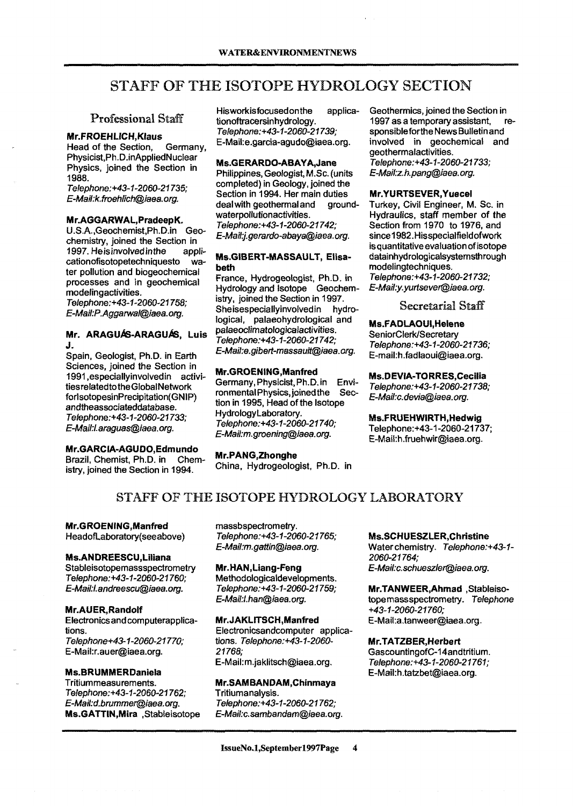## STAFF OF THE ISOTOPE HYDROLOGY SECTION

## Professional Staff

#### **Mr.FROEHIJCH,Klaus**

Head of the Section, Germany, Physicist, Ph.D. in Applied Nuclear Physics, joined the Section in 1988.

Telephone:+43-1-2060-21735; E-Mail:k. froehtich@iaea. org.

#### **Mr.AGGARWAL.PradeepK.**

U.S.A.,Geochemist,Ph.D.in Geochemistry, joined the Section in 1997. Heisinvolvedinthe applicationofisotopetechniquesto water pollution and biogeochemical processes and in geochemical modelingactivities. Telephone:+43-1-2060~21758; E-Mail:P.Aggarwal@iaea. org.

#### **Mr. ARAGU/S-ARAGUAS, Luis J.**

Spain, Geologist, Ph.D. in Earth Sciences, joined the Section in 1991,especiallyinvolvedin activities related to the Global Network forlsotopesinPrecipitation(GNlP) andtheassociateddatabase. Tetephone:+43-1 -2060-21733; E-Mail:l.araguas@iaea.org.

#### **Mr.GARCIA-AGUDO,Edmundo**

Brazil, Chemist, Ph.D. in Chemistry, joined the Section in 1994.

Hisworkisfocusedonthe applicationoftracersinhydrology. Telephone:+43-1-2060-21739; E-Mail:e.garcia-agudo@iaea.org.

#### **Ms.GERARDO-ABAYA.Jane**

Philippines, Geologist, M.Sc. (units completed) in Geology, joined the Section in 1994. Her main duties deal with geothermal and groundwaterpollutionactivities. Telephone:+43-1-2060-21742; E-Mail:j.gerardo-abaya@iaea.org.

#### **Ms.GlBERT-MASSAULT, Elisabeth**

France, Hydrogeologist, Ph.D. in Hydrology and Isotope Geochemistry, joined the Section in 1997. Sheisespeciallyinvolvedin hydrological, palaeohydrological and palaeoclimatologicalactivities. Telephone:+43-1-2060-21742; E-Mail:e.gibert-massault@iaea.org.

#### **Mr.GROENING.Manfred**

Germany, Physicist, Ph.D. in Environmental Physics, joined the Section in 1995, Head of the Isotope HydrologyLaboratory. Te!ephone:+43-1-2060-21740; E-Mail:m.groening@iaea.org.

#### **Mr.PANG.Zhonghe**

China, Hydrogeologist, Ph.D. in

Geothermics, joined the Section in 1997 as a temporary assistant, responsibleforthe News Bulletin and involved in geochemical and geothermalactivities. Telephone:+43-1-2060-21733; E-Mail:z.h.pang@iaea.org.

#### **Mr.YURTSEVER.Yuecel**

Turkey, Civil Engineer, M. Sc. in Hydraulics, staff member of the Section from 1970 to 1976, and since 1982. Hisspecialfield of work is quantitative evaluation of isotope datainhydrologicaisystemsthrough modelingtechniques. Telephone:+43-1-2060-21732; E-Mail:y.yurtsever@iaea. org.

## Secretarial Staff

## **Ms.FADLAOUI.Helene**

SeniorClerk/Secretary Telephone:+43-1-2060-21736; E-mail:h.fadlaoui@iaea.org.

#### **Ms.DEVIA-TORRES.Cecilia**

Telephone:+43~1-2060-21738; E-Mail:c.devia@iaea. org.

#### **Ms.FRUEHWIRTH.Hedwig**

Telephone:+43-1 -2060-21737; E-Mail:h.fruehwir@iaea.org.

## STAFF OF THE ISOTOPE HYDROLOGY LABORATORY

#### **Mr.GROENING.Manfred**

HeadofLaboratory(seeabove)

### **Ms.ANDREESCU,Liliana**

**Stableisotopemassspectrometry** Telephone:+43-1-2060-21760; E-Mail:!. andreescu@iaea. org.

#### **Mr.AUER,Randolf**

Electronics and computerapplications. Telephone+43-1-2060-21770; E-Mail:r.auer@iaea.org.

#### **Ms.BRUMMERDaniela**

Tritiummeasurements. Telephone:+43-1-2060-21762; E-Mail:d.brummer@iaea. org. **Ms.GATTIN.Mira** .Stabieisotope massbspectrometry. Telephone:+43-1-2060-21765; E-Mail:m.gattin@iaea.org.

**Mr.HAN,Liang-Feng** Methodologicaldeveiopments. Telephone:+43-1-2060-21759; E-Mail:I.han@iaea.org.

## **MrJAKLITSCH.Manfred** Electronicsandcomputer applica-

tions. Telephone:+43-1-2060- 21768; E-Mail:m.jaklitsch@iaea.org.

## **Mr.SAMBANOAM,Chinmaya** Tritiumanalysis.

Telephone:+43-1-2060-21762; E-Maii:c.sambandam@iaea.org. **Ms.SCHUESZLER.Christine** Water chemistry. Telephone: +43-1-2060-21764;

E-Mail:c. schueszler@iaea. org.

**Mr.TANWEER.Ahmad** .Stableisotopemassspectrometry. Telephone +43-1-2060-21760; E-Mail:a.tanweer@iaea.org.

#### **Mr.TATZBER.Herbert** GascountingofC-14andtritium.

Telephone:+43-1-2060-21761; E-Mail:h.tatzbet@iaea.org.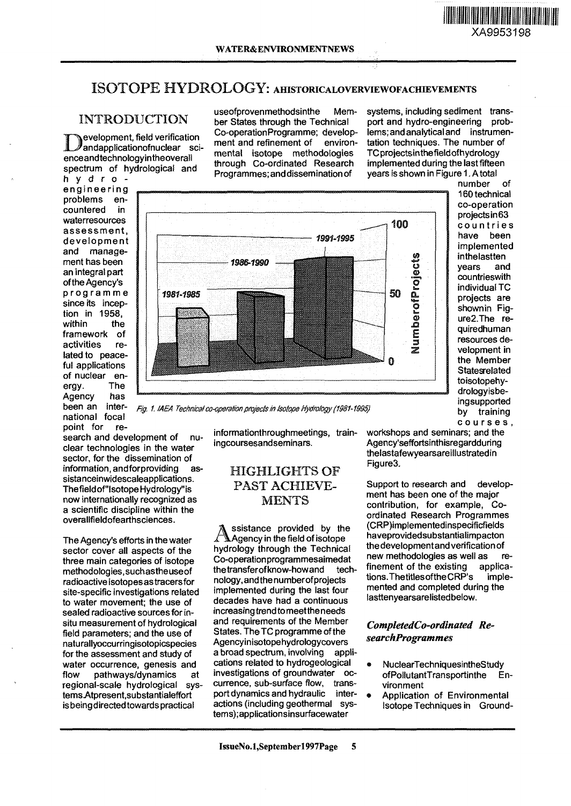## ISOTOPE HYDROLOGY: AHISTORICALOVERVIEWOFACHIEVEMENTS

## INTRODUCTION

evelopment, field verification andapplicationofnuclear scienceandtechnologyintheoverall spectrum of hydrological and

hydro engineering problems encountered in waterresources assessment, development and management has been an integral part of the Agency's prog ramm e since its inception in 1958, within the framework of activities related to peaceful applications iui applications<br>of nuoloos anorniucical cir<br>ergy. The ergy. The<br>Agency has been an international filter<br>Detical focal nauonai locai<br>"sint for re

point for re-<br>search and development of nusearch and development of the clear technologies in the wate sector, for the dissemination of<br>information, and forproviding asinformation, and for providing sistance in widescale applications. The field of "Isotope Hydrology" is now internationally recognized as a scientific discipline within the<br>overallfieldofearthsciences.

The Agency's efforts in the water sector cover all aspects of the three main categories of isotope methodologies, such as the use of radioactive isotopes as tracersfor site-specific investigations related to water movement; the use of sealed radioactive sources for insitu measurement of hydrological field parameters; and the use of naturallyoccurringisotopicspecies for the assessment and study of water occurrence, genesis and flow pathways/dynamics at regional-scale hydrological systems.Atpresent,substantialeffort is beingdirected towards practical

useofprovenmethodsinthe Member States through the Technical Co-operationProgramme; develop-<br>ment and refinement of environment and refinement of mental isotope methodologies through Co-ordinated Research Programmes; and dissemination of

systems, including sediment trans-<br>port and hydro-engineering probport and hydro-engineering lems; and analytical and instrumentation techniques. The number of TC projectsinthefield of hydrology implemented during the last fifteen years is shown in Figure 1. Atotal



number of 160 technical co-operation projects in 63 countries have been implemented inthelastten years and countrieswith individual TC projects are shownin Figure2.The requiredhuman resources development in the Member Statesrelated toisotopehydrologyisbeingsupported by training courses ,

XA9953198

informationthroughmeetings, trainingcoursesandseminars.

Fig. 1.IAEA Technical co-operation projects in Isotope Hydrology (1981-1995)

## HIGHLIGHTS OF PAST ACHIEVE-MENTS

ssistance provided by the  $\blacksquare$ Agency in the field of isotope hydrology through the Technical Co-operationprogrammesaimedat thetransferofknow-howand technology, and the number of projects implemented during the last four decades have had a continuous increasing trend to meetthe needs and requirements of the Member States. The TC programme of the Agency in isotopehydrologycovers a broad spectrum, involving applications related to hydrogeological investigations of groundwater occurrence, sub-surface flow, transport dynamics and hydraulic interactions (including geothermal systems); applicationsinsurfacewater

workshops and seminars; and the Agency'seffortsinthisregardduring thelastafewyearsareiilustratedin Figure3.

Support to research and development has been one of the major contribution, for example, Coordinated Research Programmes (CRP)implementedinspecificfields haveprovidedsubstantialimpacton the developmentand verification of new methodologies as well as refinement of the existing applications. The titles of the CRP's implemented and completed during the lasttenyearsarelistedbelow.

## *CompletedCo-ordinated ResearchProgramm.es*

- NuclearTechniquesintheStudy ofPollutantTransportinthe Environment
- Application of Environmental Isotope Techniques in Ground-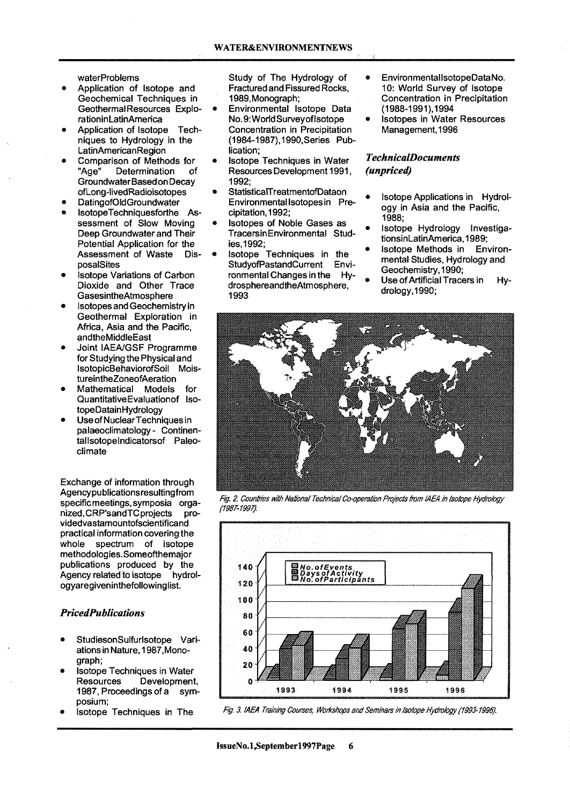waterProblems

- Application of Isotope and Geochemical Techniques in Geothermal Resources ExplorationinLatinAmerica
- Application of Isotope Techniques to Hydrology in the LatinAmericanRegion
- Comparison of Methods for<br>"Age" Determination of Determination of Groundwater Based on Decay ofLong-livedRadioisotopes
- DatingofOldGroundwater
- IsotopeTechniquesforthe Assessment of Slow Moving Deep Groundwater and Their Potential Application for the Assessment of Waste DisposalSites
- Isotope Variations of Carbon Dioxide and Other Trace GasesintheAtmosphere
- Isotopes and Geochemistry in Geothermal Exploration in Africa, Asia and the Pacific, andtheMiddleEast
- Joint IAEA/GSF Programme for Studving the Physical and IsotopicBehaviorofSoil MoistureintheZoneofAeration
- Mathematical Models for Quantitative Evaluation of IsotopeDatain Hydrology
- Use of NuclearTechniques in palaeoclimatology - Continentallsotope Indicators of Paleoclimate

Exchange of information through Agencypublicationsresultingfrom specific meetings, symposia organized, CRP'sandTC projects providedvastamountofscientificand practical information covering the whole spectrum of isotope methodologies. Some of the major publications produced by the Agency related to isotope hydrologyaregiveninthefollowinglist.

#### *PricedPubttcations*

- StudiesonSulfurlsotope Variations in Nature, 1987,Monograph;
- **Isotope Techniques in Water<br>Resources** Development Development, 1987, Proceedings of a symposium;
- Isotope Techniques in The

Study of The Hydrology of Fractured and Fissured Rocks, 1989, Monograph;

- Environmental Isotope Data  $\bullet$ No. 9: World Surveyof Isotope Concentration in Precipitation (1984-1987),1990,Series Publication;
- Isotope Techniques in Water Resources Development 1991, 1992;
- StatisticalTreatmentofDataon Environmental Isotopes in Precipitation, 1992;
- Isotopes of Noble Gases as TracersinEnvironmental Studies, 1992;
- Isotope Techniques in the StudyofPastandCurrent Envi-<br>ronmental Changes in the Hyronmental Changes in the drosphereandtheAtmosphere, 1993
- Environmental IsotopeData No. 10: World Survey of Isotope Concentration in Precipitation (1988-1991),1994
- Isotopes in Water Resources Management, 1996

## *TechnicalDocuments (unpriced)*

- Isotope Applications in Hydrology in Asia and the Pacific, 1988;
- Isotope Hydrology InvestigationsinLatinAmerica, 1989;<br>Isotope Methods in Environ-
- Isotope Methods in mental Studies, Hydrology and Geochemistry, 1990;
- Use of Artificial Tracers in Hydrology, 1990;



Fig. 2. Countries with National Technical Co-operation Projects from IAEA in Isotope Hydrology *(1987-1997).*



Fig. 3. IAEA Training Courses, Workshops and Seminars in Isotope Hydrology (1993-1996).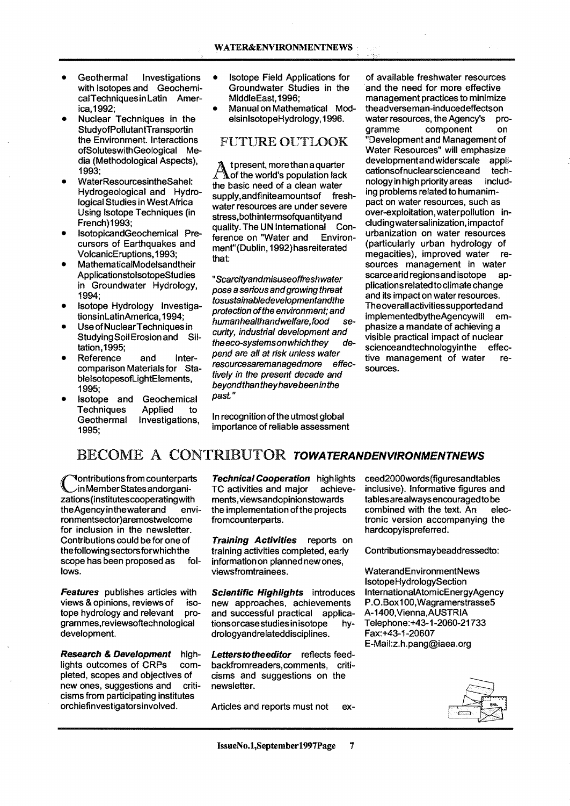- Geotherma! Investigations with Isotopes and GeochemicalTechniques in Latin America, 1992;
- Nuclear Techniques in the Study of Pollutant Transportin the Environment. Interactions ofSoiuteswithGeological Media (Methodological Aspects), 1993;
- WaterResourcesintheSahel: Hydrogeological and Hydrological Studies in West Africa Using Isotope Techniques (in French)1993;
- IsotopicandGeochemical Precursors of Earthquakes and VolcanicEruptions, 1993;
- MathematicalModelsandtheir ApplicationstolsotopeStudies in Groundwater Hydrology, 1994;
- Isotope Hydrology InvestigationsinLatinAmerica, 1994;
- Use of Nuclear Techniques in Studying Soil Erosion and Siltation,1995;
- Reference and Intercomparison Materials for StablelsotopesofLightElements, 1995;
- Isotope and Geochemical<br>Techniques Applied to Techniques Applied to<br>Geothermal Investigations Investigations, 1995;
- Isotope Field Applications for Groundwater Studies in the MiddleEast,1996;
- Manual on Mathematical ModetsinlsotopeHydrology, 1996.

### FUTURE OUTLOOK

t present, more than a quarter  $\bigwedge$  of the world's population lack the basic need of a clean water supply, and finite amounts of freshwater resources are under severe stress.bothintermsofquantityand quality. The UN International Con-<br>ference on "Water and Environference on "Water and ment"(Dublin, 1992) has reiterated that:

"'Scarcity'andmisuseoffreshwater pose a serious and growing threat tosustainabledevelopmentandthe protection of the environment; and humanhealthandwelfare.food security, industrial development and theeco-systemsonwhichthey depend are all at risk unless water resourcesaremanagedmore effectively in the present decade and beyondthantheyhavebeenin the past"

In recognition of the utmost global importance of reliable assessment

of available freshwater resources and the need for more effective management practices to minimize theadverseman-inducedeffectson<br>water resources, the Agency's prowater resources, the Agency's<br>gramme component component on "Development and Management of Water Resources" will emphasize developmentandwiderscale appli-<br>cationsofnuclearscienceand techcationsofnuclearscienceand nology in high priority areas including problems related to humanimpact on water resources, such as over-exploitation,waterpollution includingwatersalinization.impactof urbanization on water resources (particularly urban hydrology of megacities), improved water resources management in water scarce arid regions and isotope applicationsrelatedtoclimate change and its impact on water resources. Theoverallactivitiessupportedand implementedbytheAgencywill emphasize a mandate of achieving a visible practical impact of nuclear scienceandtechnologyinthe effective management of water resources.

## BECOME A CONTRIBUTOR TOWATERANDENVIRONMENTNEWS

**Nontributions from counterparts** \\_^in Member States andorganizations(institutescooperatingwith theAgencyinthewaterand environ mentsector)aremostwelcome for inclusion in the newsletter. Contributions could be for one of thefollowingsectorsforwhichthe scope has been proposed as follows.

Features publishes articles with views & opinions, reviews of isotope hydrology and relevant programmes.reviewsoftechnological development.

**Research & Development** highlights outcomes of CRPs completed, scopes and objectives of new ones, suggestions and criticisms from participating institutes orchiefinvestigatorsinvolved.

**Technical Cooperation** highlights TC activities and major achievements, viewsandopinionstowards the implementation of the projects fromcounterparts.

**Training Activities** reports on training activities completed, early information on planned new ones, viewsfromtrainees.

**Scientific Highlights** introduces new approaches, achievements and successful practical applicationsorcasestudiesinisotope hydrologyandrelateddisciplines.

**Letterstotheeditor** reflects feedbackfromreaders,comments, criticisms and suggestions on the newsletter.

Articles and reports must not ex-

ceed2000words(figuresandtables inclusive). Informative figures and tablesarealwaysencouragedtobe combined with the text. An electronic version accompanying the hardcopyispreferred.

Contributionsmaybeaddressedto:

WaterandEnvironmentNews IsotopeHydrologySection IntemationalAtomicEnergyAgency P.O.Box100, Wagramerstrasse5 A-1400,Vienna,AUSTRIA Telephone:+43-1-2060-21733 Fax:+43-1-20607 E-Mail:z.h.pang@iaea.org

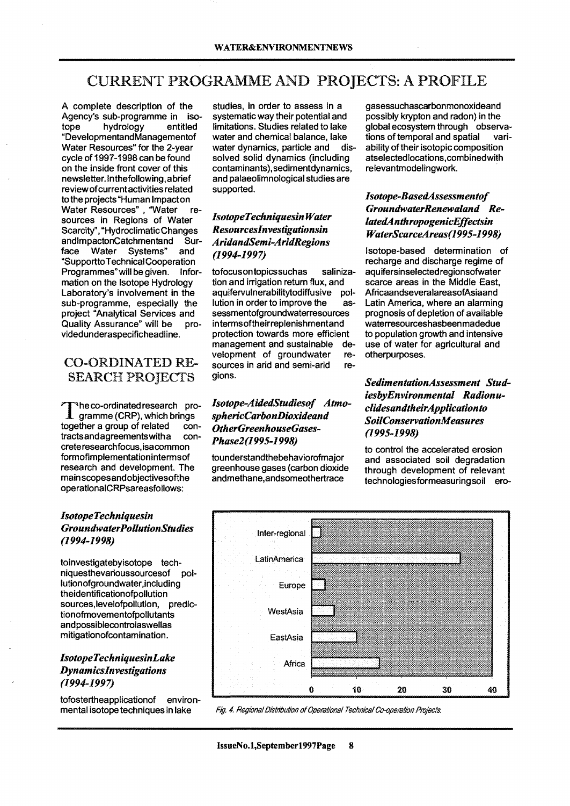# CURRENT PROGRAMME AND PROJECTS: A PROFILE

A complete description of the Agency's sub-programme in iso-<br>tope hydrology entitled hydrology "DevelopmentandManagementof Water Resources" for the 2-year cycle of 1997-1998 can be found on the inside front cover of this newsletter. Inthefollowing.abrief review of current activities related to the projects "Human Impact on Water Resources", "Water resources in Regions of Water Scarcity", "Hydroclimatic Changes andImpactonCatchmentand Sur-<br>face Water Systems" and face Water Systems" and "SupporttoTechnicalCooperation Programmes" will be given. Information on the Isotope Hydrology Laboratory's involvement in the sub-programme, especially the project "Analytical Services and Quality Assurance" will be providedunderaspecificheadline.

## CO-ORDINATED RE-SEARCH PROJECTS

Phe co-ordinated research programme (CRP), which brings together a group of related contractsandagreementswitha concrete researchfocus, isa common formofimplementationintermsof research and development. The main scopesandobjectivesofthe operationalCRPsareasfollows:

## *IsotopeTechniquesin GroundwaterPollutionStudies (1994-1998)*

toinvestigatebyisotope techniquesthevarioussourcesof pollutionofgroundwater, including theidentificationofpollution sources.levelofpollution, predictionofmovementofpollutants andpossiblecontrolaswellas mitigationofcontamination.

## *Isotope TechniquesinLake Dynatnicslnvestigations (1994-1997)*

tofostertheapplicationof environmental isotope techniques in lake

studies, in order to assess in a systematic way their potential and limitations. Studies related to lake water and chemical balance, lake water dynamics, particle and dissolved solid dynamics (including contaminants),sedimentdynamics, and palaeolimnological studies are supported.

## *IsotopeTechniquesin Water Resourceslnvestigationsin AtidandSemi-AridRegions (1994-1997)*

tofocusontopicssuchas salinization and irrigation return flux, and aquifervulnerabilitytodiffusive pollution in order to improve the assessmentofgroundwaterresources intermsoftheirreplenishmentand protection towards more efficient management and sustainable development of groundwater resources in arid and semi-arid regions.

## *Isotope-AidedStudiesof AttnosphericCarbonDioxideand OtherGreenhouseGases-Phase2(1995-1998)*

tounderstandthebehaviorofmajor greenhouse gases (carbon dioxide andmethane.andsomeothertrace

gasessuchascarbonmonoxideand possibly krypton and radon) in the global ecosystem through observations of temporal and spatial variability of their isotopic composition atselectedlocations.combinedwith relevantmodelingwork.

## *Isotope-BasedAssessmentof GroundwaterRenewaland RelatedA nihropogenicEffectsin WaterScarceAreas(l995-1998)*

Isotope-based determination of recharge and discharge regime of aquifersinselectedregionsofwater scarce areas in the Middle East, AfricaandseveralareasofAsiaand Latin America, where an alarming prognosis of depletion of available waterresourceshasbeenmadedue to population growth and intensive use of water for agricultural and otherpurposes.

### *SedimentationAssessment StudiesbyEnvironmental RadionuclidesandtheirApplicationto SoilConservadonMeasures (1995-1998)*

to control the accelerated erosion and associated soil degradation through development of relevant technologiesformeasuringsoil ero-



Fig. 4. Regional Distribution of Operational Technical Co-operation Projects.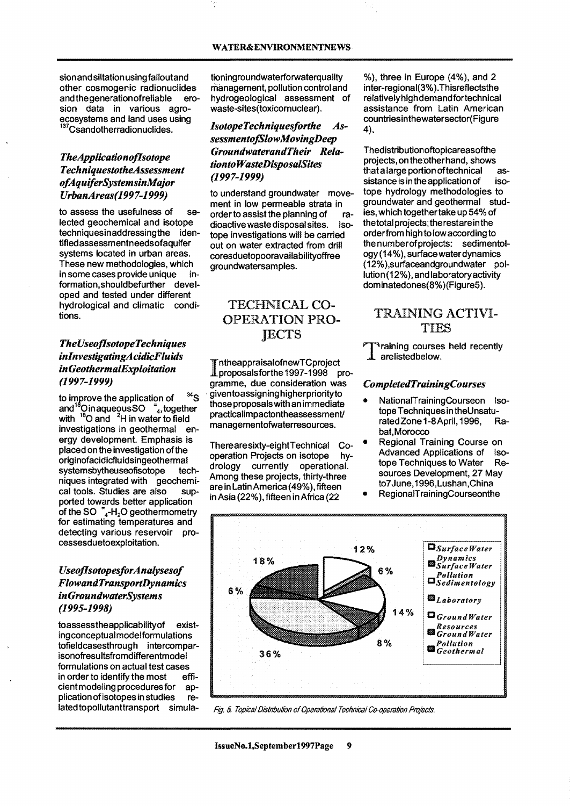sion and siltation using fallout and other cosmogenic radionuclides<br>and the generation of reliable eroand the generation of reliable sion data in various agroecosystems and land uses using <sup>137</sup>Csandotherradionuclides.

### *TheApplicationoflsotope TechniquestotheAssessment ofAquiferSystemsinMajor UrbanAreas(1997-1999)*

to assess the usefulness of selected geochemtcal and isotope techniquesinaddressingthe identifiedassessmentneedsofaquifer systems located in urban areas. These new methodoiogies, which in some cases provide unique information.shouldbefurther developed and tested under different hydrological and climatic conditions.

### *TheUseoflsotopeTechniques inlnvestigatingAcidicFluids inGeothermalExploitation (1997-1999)*

to improve the application of  $\frac{34}{5}$ S and  ${}^{18}$ OinaqueousSO  $\overline{a}$ , together with <sup>18</sup>O and <sup>2</sup>H in water to field investigations in geothermal energy development. Emphasis is placed on the investigation of the originofacidicfluidsingeothermai systemsbytheuseofisotope techniques integrated with geochemical tools. Studies are also supported towards better application of the SO = <sup>4</sup>-H2O geothermometry for estimating temperatures and detecting various reservoir processesduetoexploitation.

### *UseoflsotopesforA nalysesof FlowandTransportDynamics inGroundwaterSystems (1995-1998)*

toassesstheapplicabilityof existingconceptualmodelformulations tofieldcasesthrough intercomparisonofresultsfromdifferentmodel formulations on actual test cases in order to identify the most efficient modeling procedures for applicationofisotopesin studies related to pollutant transport simulationingroundwaterforwaterquality management, pollution control and hydrogeologica! assessment of waste-sites(toxicornuclear).

*IsotopeTechniquesforthe AssessmentofSlowMovingDeep GroundwaterandTheir Relationto WasteDisposalSites (1997-1999)*

to understand groundwater movement in low permeable strata in order to assist the planning of ra-<br>dioactive waste disposal sites. Isodioactive waste disposal sites. tope investigations will be carried out on water extracted from drill coresduetopooravailabilityoffree groundwatersamples.

## TECHNICAL CO-OPERATION PRO-**IECTS**

TntheappraisalofnewTCproject JLproposalsforthe1997-1998 programme, due consideration was giventoassigninghigherpriorityto those proposals with an immediate practicalimpactontheassessment/ managementofwaterresources.

Therearesixty-eightTechnical Cooperation Projects on isotope hydrology currently operational. Among these projects, thirty-three are in Latin America (49%), fifteen in Asia (22%), fifteen in Africa (22

%), three in Europe (4%), and 2 inter-regional(3%).Thisreflectsthe refativelyhighdemandfortechnical assistance from Latin American countriesinthewatersector(Figure 4)-

Thedistributionoftopicareasofthe projects, on the other hand, shows<br>that a large portion of technical as $that a large portion of technical$ sistance is in the application of isotope hydrology methodologies to groundwater and geothermal studies, which togethertake up 54% of thetotalprojects;therestareinthe order from high to low according to the numberof projects: sedimentology (14%), surface water dynamics (12%),surfaceandgroundwater pollution(12%), and laboratory activity dominatedones(8%)(Figure5).

## TRAINING ACTIVI-TIES

<sup>1</sup> raining courses held recently arelistedbelow.

#### *CompletedTrainingCourses*

- NationalTrainingCourseon Isotope Techniques in theUnsaturatedZone1-8April,1996, Rabat, Morocco
- Regional Training Course on Advanced Applications of Isotope Techniques to Water Resources Development, 27 May to7June,1996,Lushan,China
- RegionalTrainingCourseonthe



Fig. 5. Topical Distribution of Operational Technical Co-operation Projects.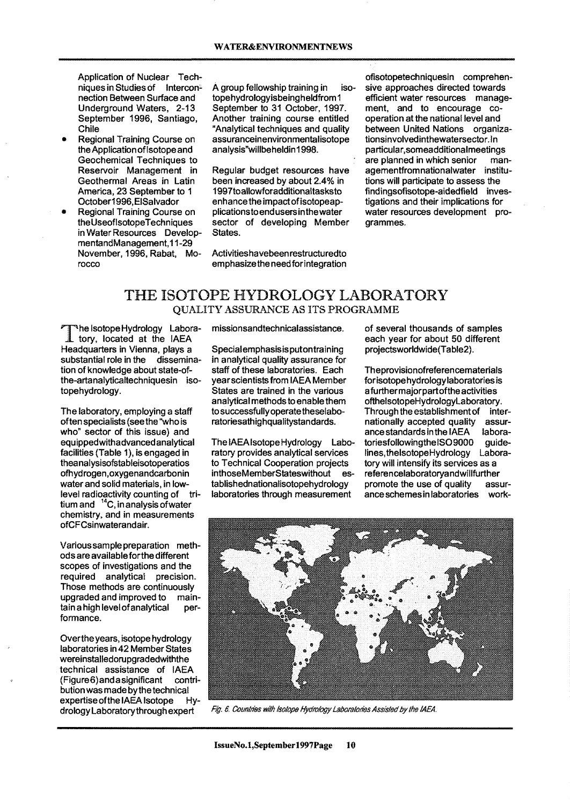Application of Nuclear Techniques in Studies of Interconnection Between Surface and Underground Waters, 2-13 September 1996, Santiago, Chile

- Regional Training Course on the Application of Isotope and Geochemical Techniques to Reservoir Management in Geothermal Areas in Latin America, 23 September to 1 October1996,EISalvador
- Regional Training Course on theUseoflsotopeTechniques in Water Resources DevelopmentandManagement,11-29 November, 1996, Rabat, Morocco

A group fellowship training in isotopehydrologyisbeingheidfrom 1 September to 31 October, 1997. Another training course entitled "Analytical techniques and quality assuranceinenvironmentalisotope analysis"willbeheldin1998.

Regular budget resources have been increased by about 2.4% in 1997toallowforadditionaltasksto enhance the impact of isotopeapplications to end users in the water sector of developing Member States.

Activitieshavebeenrestructuredto emphasize the need forintegration ofisotopetechniquesin comprehensive approaches directed towards efficient water resources management, and to encourage cooperation at the national level and between United Nations organizationsinvolvedinthewatersector.ln particular, someadditionalmeetings<br>are planned in which senior manare planned in which senior agementfrom nationalwater institutions will participate to assess the find ingsofisotope-aidedfield investigations and their implications for water resources development programmes.

## THE ISOTOPE HYDROLOGY LABORATORY QUALITY ASSURANCE AS ITS PROGRAMME

**The Isotope Hydrology** Labora-JL tory, located at the IAEA Headquarters in Vienna, plays a substantial role in the dissemination of knowledge about state-ofthe-artanalyticaltechniquesin isotopehydrology.

The laboratory, employing a staff often specialists (see the "who is who" sector of this issue) and equippedwithadvancedanalytical facilities (Table 1), is engaged in theanalysisofstableisotoperatios ofhydrogen.oxygenandcarbonin water and solid materials, in lowlevel radioactivity counting of tritium and <sup>14</sup>C, in analysis of water chemistry, and in measurements ofCFCsinwaterandair.

Various sample preparation methods are availableforthe different scopes of investigations and the required analytical precision. Those methods are continuously upgraded and improved to maintain a high level of analytical performance.

Overthe years, isotope hydrology laboratories in 42 Member States wereinstalledorupgradedwiththe technical assistance of IAEA (Figure6)andasignificant contribution was made by the technical expertise of the IAEA Isotope Hydrology Laboratory through expert

missionsandtechnicalassistance.

Special emphasis is puton training in analytical quality assurance for staff of these laboratories. Each yearscientistsfrom IAEA Member States are trained in the various analytical methods to enable them to successfully operate theselaboratoriesathighqualitystandards.

The IAEA Isotope Hydrology Laboratory provides analytical services to Technical Cooperation projects inthoseMemberStateswithout establishednationalisotopehydrology laboratories through measurement

of several thousands of samples each year for about 50 different projectsworldwide(Table2).

**Theprovisionofreferencematerials** forisotopehydrologylaboratoriesis afurthermajorpartoftheactivities ofthelsotopeHydrologyLaboratory. Through the establishment of internationally accepted quality assurance standards in the IAEA laboratoriesfollowingthelSO9000 guidelines.thelsotopeHydrology Laboratory will intensify its services as a referencelaboratoryandwillfurther promote the use of quality assurance schemes in laboratories work-



Fig. 6. Countries with Isotope Hydrology Laboratories Assisted by the IAEA.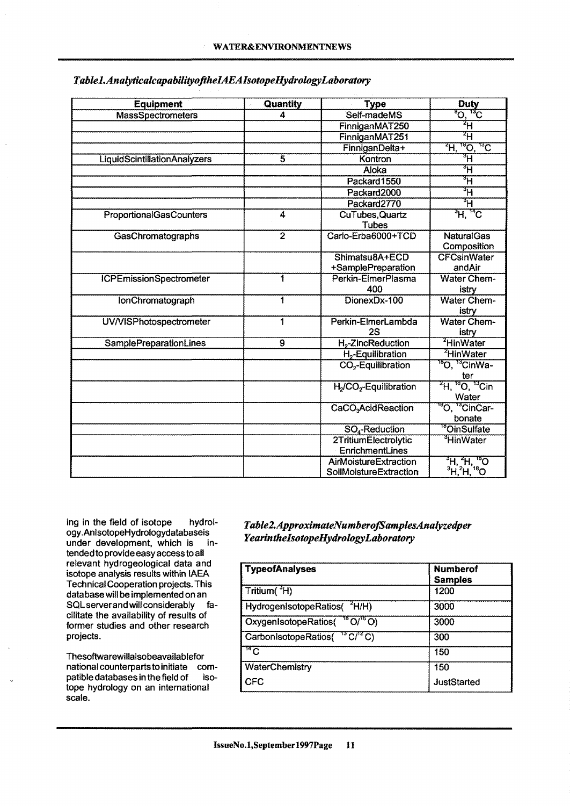| <b>Equipment</b>                    | Quantity                | <b>Type</b>                           | <b>Duty</b>                                                 |
|-------------------------------------|-------------------------|---------------------------------------|-------------------------------------------------------------|
| MassSpectrometers                   | 4                       | Self-madeMS                           | $^{\rm 75}$ C<br>$\sum_{\alpha}$                            |
|                                     |                         | FinniganMAT250                        | ੌਜ                                                          |
|                                     |                         | FinniganMAT251                        | ੌਜ                                                          |
|                                     |                         | FinniganDelta+                        | ™ट<br>$\overline{\textbf{C}^{\texttt{err}}}$<br>H,          |
| <b>LiquidScintillationAnalyzers</b> | $\overline{5}$          | Kontron                               | ੌਜ                                                          |
|                                     |                         | Aloka                                 | ੌਮ                                                          |
|                                     |                         | Packard1550                           | ैन                                                          |
|                                     |                         | Packard2000                           | ैंन                                                         |
|                                     |                         | Packard2770                           | ैँम                                                         |
| <b>ProportionalGasCounters</b>      | 4                       | CuTubes, Quartz<br>Tubes              | $\overline{H}$ , $\overline{C}$                             |
| GasChromatographs                   | $\overline{\mathbf{2}}$ | Carlo-Erba6000+TCD                    | <b>NaturalGas</b>                                           |
|                                     |                         |                                       | Composition                                                 |
|                                     |                         | Shimatsu8A+ECD                        | <b>CFCsinWater</b>                                          |
|                                     |                         | +SamplePreparation                    | andAir                                                      |
| <b>ICPEmissionSpectrometer</b>      | 1                       | Perkin-ElmerPlasma                    | <b>Water Chem-</b>                                          |
|                                     |                         | 400                                   | istry                                                       |
| lonChromatograph                    | 1                       | DionexDx-100                          | <b>Water Chem-</b>                                          |
|                                     |                         |                                       | istry                                                       |
| UV/VISPhotospectrometer             | 1                       | Perkin-ElmerLambda                    | Water Chem-                                                 |
|                                     |                         | 2S                                    | istry                                                       |
| SamplePreparationLines              | 9                       | H <sub>2</sub> -ZincReduction         | <sup>2</sup> HinWater                                       |
|                                     |                         | $H_2$ -Equilibration                  | <sup>2</sup> HinWater                                       |
|                                     |                         | CO <sub>2</sub> -Equilibration        | <sup>18</sup> O, <sup>13</sup> CinWa-                       |
|                                     |                         |                                       | ter                                                         |
|                                     |                         | $H_2$ /CO <sub>2</sub> -Equilibration | <sup>2</sup> H, <sup>18</sup> O, <sup>13</sup> Cin<br>Water |
|                                     |                         | CaCO <sub>3</sub> AcidReaction        | <sup>18</sup> O, <sup>13</sup> CinCar-                      |
|                                     |                         |                                       | bonate                                                      |
|                                     |                         | SO <sub>4</sub> -Reduction            | <sup>18</sup> OinSulfate                                    |
|                                     |                         | 2TritiumElectrolytic                  | <sup>3</sup> HinWater                                       |
|                                     |                         | <b>EnrichmentLines</b>                |                                                             |
|                                     |                         | AirMoistureExtraction                 |                                                             |
|                                     |                         | SoilMoistureExtraction                | ੱਸ, <del>"</del> ਮ, "ੱਠ<br><sup>3</sup> H, "h, "ੱਠ          |

## *Tablel.AnatyticalcapabttityofthelAEAIsotopeHydrologyLaboratory*

ing in the field of isotope hydrology.AnlsotopeHydrologydatabaseis under development, which is intended to provide easy access to all relevant hydrogeological data and isotope analysis results within IAEA Technical Cooperation projects. This database will be implemented on an SQL server and will considerably facilitate the availability of results of former studies and other research projects.

Thesoftwarewillalsobeavailablefor national counterparts to initiate compatible databases in the field of isotope hydrology on an international scale.

## *Table2.ApproximateNumberofSamplesAnatyzedper YearinthelsotopeHydrologyLaboratory*

| TypeofAnalyses                                         | <b>Numberof</b><br><b>Samples</b> |
|--------------------------------------------------------|-----------------------------------|
| $Tritium(^{3}H)$                                       | 1200                              |
| HydrogenisotopeRatios( <sup>2</sup> H/H)               | 3000                              |
| OxygenIsotopeRatios( <sup>18</sup> O/ <sup>16</sup> O) | 3000                              |
| CarbonIsotopeRatios("C/"C)                             | 300                               |
| $\Box^4$ $C$                                           | 150                               |
| WaterChemistry                                         | 150                               |
| CFC                                                    | <b>JustStarted</b>                |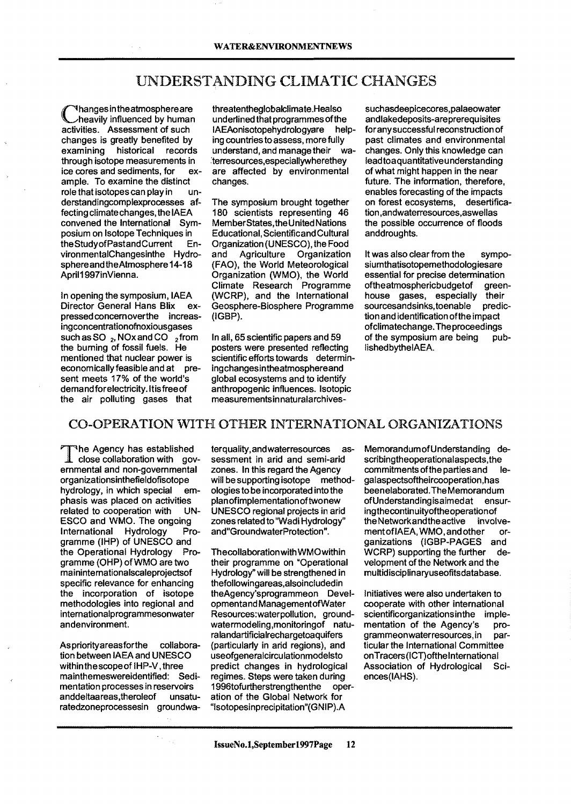## UNDERSTANDING CLIMATIC CHANGES

**Thanges in theatmosphereare** \\_^heavily influenced by human activities. Assessment of such changes is greatly benefited by examining historical records through isotope measurements in ice cores and sediments, for example. To examine the distinct role that isotopes can play in understandingcomplexprocesses affecting climate changes, the IAEA convened the International Symposium on Isotope Techniques in theStudyofPastandCurrent EnvironmentalChangesinthe HydrosphereandtheAtmosphere 14-18 April1997inVienna.

in opening the symposium, IAEA Director General Hans Blix expressed concernoverthe increasingconcentrationofnoxiousgases such as SO  $_2$ , NOx and CO  $_2$  from the burning of fossil fuels. He mentioned that nuclear power is economically feasible and at present meets 17% of the world's demandforelectricity. Itisfreeof the air polluting gases that

threatentheglobalclimate.Healso underlined that programmes of the<br>IAEAonisotopehydrologyare helplAEAonisotopehydrologyare ing countries to assess, more fully understand, and manage their waterresources.especiallywherethey are affected by environmental changes.

The symposium brought together 180 scientists representing 46 MemberStates,the United Nations Educational, ScientificandCultural Organization (UNESCO), the Food and Agriculture Organization (FAO), the World Meteorological Organization (WMO), the World Climate Research Programme (WCRP), and the International Geosphere-Biosphere Programme (IGBP).

In all, 65 scientific papers and 59 posters were presented reflecting scientific efforts towards determiningchangesintheatmosphereand global ecosystems and to identify anthropogenic influences. Isotopic measurementsinnaturalarchivessuchasdeepicecores.palaeowater andlakedeposits-areprerequisites for any successful reconstruction of past climates and environmental changes. Only this knowledge can leadtoaquantitativeunderstanding of what might happen in the near future. The information, therefore, enables forecasting of the impacts on forest ecosystems, desertification ,andwaterresources,aswellas the possible occurrence of floods anddroughts.

It was also clear from the symposiumthatisotopemethodologiesare essential for precise determination<br>oftheatmosphericbudgetof greenoftheatmosphericbudgetof house gases, especially their sourcesandsinks, toenable prediction and identification of the impact ofclimatechange.Theproceedings of the symposium are being publishedbythelAEA.

### CO-OPERATION WITH OTHER INTERNATIONAL ORGANIZATIONS

The Agency has established<br>close collaboration with govhe Agency has established ernmental and non-governmental organizationsinthefieldofisotope hydrology, in which special emphasis was placed on activities related to cooperation with UN-ESCO and WMO. The ongoing International Hydrology Programme (IHP) of UNESCO and the Operational Hydrology Programme (OHP) of WMO are two maininternationalscaleprojectsof specific relevance for enhancing the incorporation of isotope methodologies into regional and intemationalprogrammesonwater andenvironment.

Aspriorityareasforthe collaboration between IAEA and UNESCO within the scope of IHP-V, three mainthemeswereidentified: Sedimentation processes in reservoirs anddeltaareas.theroleof unsaturatedzoneprocessesin groundwa-

terquality.andwaterresources assessment in arid and semi-arid zones. In this regard the Agency will be supporting isotope methodologies to be incorporated into the plan of implementation of two new UNESCO regional projects in arid zones related to "Wadi Hydrology" and"GroundwaterProtection".

ThecollaborationwithWMOwithin their programme on "Operational Hydrology" will be strengthened in thefollowingareas,alsoincludedin theAgency'sprogrammeon Developmenta nd Manageme nt of Water Resources:waterpollution, groundwatermodeling.monitoringof naturalandartificialrechargetoaquifers (particularly in arid regions), and useofgeneralcirculationmodelsto predict changes in hydrological regimes. Steps were taken during 1996tofurtherstrengthenthe operation of the Global Network for "lsotopesinprecipitation"(GNIP).A

Memorandum of Understanding describingtheoperationalaspects.the commitments of the parties and legalaspectsoftheircooperation.has beenelaborated.TheMemorandum ofUnderstandingisaimedat ensuring thecontinuityoftheoperationof theNetworkandtheactive involvement of IAEA, WMO, and other organizations (IGBP-PAGES and WCRP) supporting the further development of the Network and the multidiscipiinaryuseofitsdatabase.

Initiatives were also undertaken to cooperate with other international scientificorganizationsinthe imple-<br>mentation of the Agency's promentation of the Agency's pro-<br>grammeonwaterresources.in pargrammeonwaterresources, in ticular the International Committee onTracers(ICT)ofthelnternational Association of Hydrological Sciences(IAHS).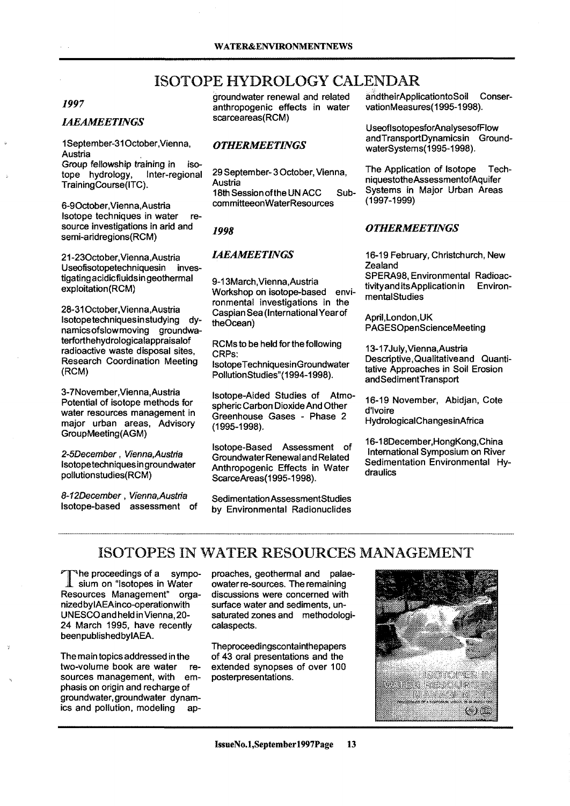# ISOTOPE HYDROLOGY CALENDAR

#### *1997*

#### *IAEAMEETINGS*

#### 1September-31 October, Vienna, Austria

Group fellowship training in iso-<br>tope hydrology, Inter-regional tope hydrology, TrainingCourse(ITC).

6-9October,Vienna,Austria Isotope techniques in water resource investigations in arid and semi-aridregions(RCM)

21-23October, Vienna, Austria Useofisotopetechniquesin investigating acidicfluidsin geothermal exploitation(RCM)

28-31 October, Vienna,Austria Isotopetechniquesinstudying dynamicsofslowmoving groundwaterforthehydrologicalappraisalof radioactive waste disposal sites, Research Coordination Meeting (RCM)

3-7November.Vienna, Austria Potential of isotope methods for water resources management in major urban areas, Advisory GroupMeeting(AGM)

2-5December, Vienna,Austria Isotope techniquesingroundwater pollutionstudies(RCM)

8-12December, Vienna,Austria Isotope-based assessment of groundwater renewal and related anthropogenic effects in water scarceareas(RCM)

#### *OTHERMEETINGS*

29 September- 3 October, Vienna, Austria 18th Session of the UN ACC SubcommitteeonWaterResources

#### *1998*

### *IAEAMEETINGS*

9-13March,Vienna,Austria Workshop on isotope-based environmental investigations in the Caspian Sea (International Year of theOcean)

RCMs to be held for the following CRPs:

IsotopeTechniquesinGroundwater PollutionStudies"(1994-1998).

Isotope-Aided Studies of Atmospheric Carbon Dioxide And Other Greenhouse Gases - Phase 2 (1995-1998).

Isotope-Based Assessment of GroundwaterRenewal and Related Anthropogenic Effects in Water ScarceAreas(1995-1998).

SedimentationAssessmentStudies by Environmental Radionuclides aridtheirApplicationtoSoil ConservationMeasures( 1995-1998).

UseoflsotopesforAnalysesofFlow andTransportDynamicsin GroundwaterSystems(1995-1998).

The Application of Isotope TechniquestotheAssessmentofAquifer Systems in Major Urban Areas (1997-1999)

#### *OTHERMEETINGS*

16-19 February, Christchurch, New **Zealand** SPERA98, Environmental Radioactivity and its Application in EnvironmentalStudies

April, London.UK PAGESOpenScienceMeeting

13-17July,Vienna,Austria Descriptive, Qualitativeand Quantitative Approaches in Soil Erosion andSedimentTransport

16-19 November, Abidjan, Cote d'lvoire HydrologicalChangesinAfrica

16-18December,HongKong, China International Symposium on River Sedimentation Environmental Hydraulics

## ISOTOPES IN WATER RESOURCES MANAGEMENT

The proceedings of a sympo-JL sium on "Isotopes in Water Resources Management" organized bylAEAinco-operationwith UNESCOand held in Vienna, 20- 24 March 1995, have recently beenpublishedbylAEA.

The main topics addressed in the two-volume book are water resources management, with emphasis on origin and recharge of groundwater, groundwater dynamics and pollution, modeling approaches, geothermal and palaeowater re-sources. The remaining discussions were concerned with surface water and sediments, unsaturated zones and methodologicalaspects.

Theproceedingscontainthepapers of 43 oral presentations and the extended synopses of over 100 posterpresentations.